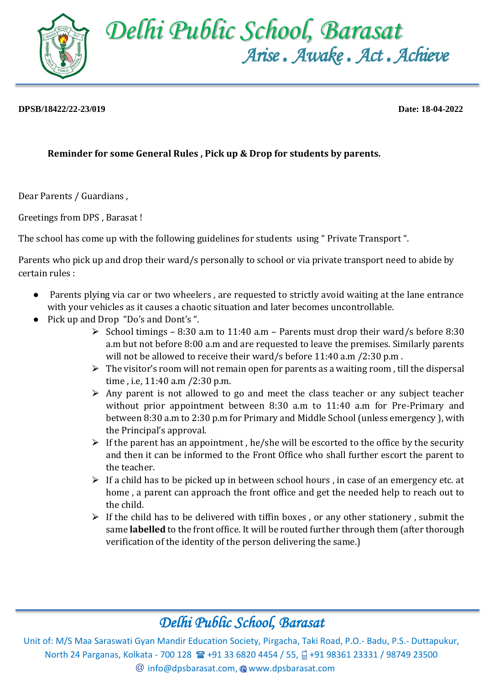

## **DPSB/18422/22-23/019 Date: 18-04-2022**

## **Reminder for some General Rules , Pick up & Drop for students by parents.**

Dear Parents / Guardians ,

Greetings from DPS , Barasat !

The school has come up with the following guidelines for students using " Private Transport ".

Parents who pick up and drop their ward/s personally to school or via private transport need to abide by certain rules :

- Parents plying via car or two wheelers, are requested to strictly avoid waiting at the lane entrance with your vehicles as it causes a chaotic situation and later becomes uncontrollable.
- Pick up and Drop "Do's and Dont's ".
	- $\triangleright$  School timings 8:30 a.m to 11:40 a.m Parents must drop their ward/s before 8:30 a.m but not before 8:00 a.m and are requested to leave the premises. Similarly parents will not be allowed to receive their ward/s before 11:40 a.m /2:30 p.m .
	- $\triangleright$  The visitor's room will not remain open for parents as a waiting room, till the dispersal time , i.e, 11:40 a.m /2:30 p.m.
	- $\triangleright$  Any parent is not allowed to go and meet the class teacher or any subject teacher without prior appointment between 8:30 a.m to 11:40 a.m for Pre-Primary and between 8:30 a.m to 2:30 p.m for Primary and Middle School (unless emergency ), with the Principal's approval.
	- $\triangleright$  If the parent has an appointment, he/she will be escorted to the office by the security and then it can be informed to the Front Office who shall further escort the parent to the teacher.
	- $\triangleright$  If a child has to be picked up in between school hours, in case of an emergency etc. at home , a parent can approach the front office and get the needed help to reach out to the child.
	- $\triangleright$  If the child has to be delivered with tiffin boxes, or any other stationery, submit the same **labelled** to the front office. It will be routed further through them (after thorough verification of the identity of the person delivering the same.)

## *Delhi Public School, Barasat*

Unit of: M/S Maa Saraswati Gyan Mandir Education Society, Pirgacha, Taki Road, P.O.- Badu, P.S.- Duttapukur, North 24 Parganas, Kolkata - 700 128 **1 + 91 33 6820 4454 / 55,** +91 98361 23331 / 98749 23500  $@$  [info@dpsbarasat.com,](mailto:info@dpsbarasat.com)  $@$  www.dpsbarasat.com